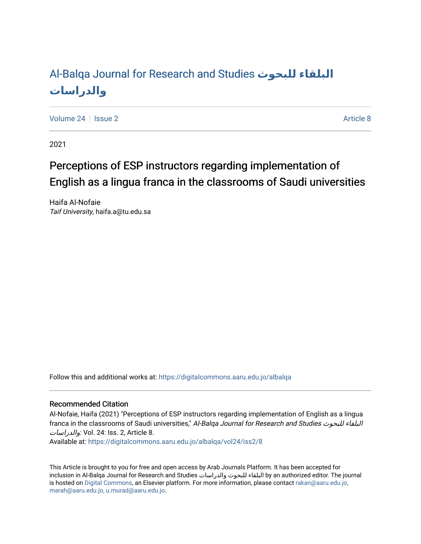# [Al-Balqa Journal for Research and Studies](https://digitalcommons.aaru.edu.jo/albalqa) **للبحوث البلقاء [والدراسات](https://digitalcommons.aaru.edu.jo/albalqa)**

[Volume 24](https://digitalcommons.aaru.edu.jo/albalqa/vol24) | [Issue 2](https://digitalcommons.aaru.edu.jo/albalqa/vol24/iss2) Article 8

2021

# Perceptions of ESP instructors regarding implementation of English as a lingua franca in the classrooms of Saudi universities

Haifa Al-Nofaie Taif University, haifa.a@tu.edu.sa

Follow this and additional works at: [https://digitalcommons.aaru.edu.jo/albalqa](https://digitalcommons.aaru.edu.jo/albalqa?utm_source=digitalcommons.aaru.edu.jo%2Falbalqa%2Fvol24%2Fiss2%2F8&utm_medium=PDF&utm_campaign=PDFCoverPages) 

# Recommended Citation

Al-Nofaie, Haifa (2021) "Perceptions of ESP instructors regarding implementation of English as a lingua franca in the classrooms of Saudi universities," Al-Balqa Journal for Research and Studies البلقاء للبحوث والدراسات: Vol. 24: Iss. 2, Article 8.

Available at: [https://digitalcommons.aaru.edu.jo/albalqa/vol24/iss2/8](https://digitalcommons.aaru.edu.jo/albalqa/vol24/iss2/8?utm_source=digitalcommons.aaru.edu.jo%2Falbalqa%2Fvol24%2Fiss2%2F8&utm_medium=PDF&utm_campaign=PDFCoverPages) 

This Article is brought to you for free and open access by Arab Journals Platform. It has been accepted for inclusion in Al-Balqa Journal for Research and Studies والدراسات للبحوث البلقاء by an authorized editor. The journal is hosted on [Digital Commons](https://www.elsevier.com/solutions/digital-commons), an Elsevier platform. For more information, please contact [rakan@aaru.edu.jo,](mailto:rakan@aaru.edu.jo,%20marah@aaru.edu.jo,%20u.murad@aaru.edu.jo)  [marah@aaru.edu.jo, u.murad@aaru.edu.jo.](mailto:rakan@aaru.edu.jo,%20marah@aaru.edu.jo,%20u.murad@aaru.edu.jo)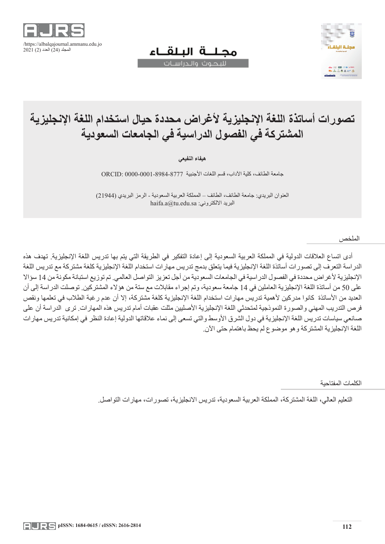

# مجللة البلقاء



# لليحوث والحراسيات

# **تصورات أساتذة اللغة اإلنجليزية ألغراض محددة حيال استخدام اللغة اإلنجليزية المشتركة في الفصول الدراسية في الجامعات السعودية**

**هيفاء النفيعي**

جامعة الطائف، كلية اآلداب، قسم اللغات األجنبية 0000-0001-8984-8777 :ORCID

العنوان البريدي: جامعة الطائف، الطائف – المملكة العربية السعودية - الرمز البريدي )21944(  $h$ aifa.a $@t$ u.edu.sa :البريد الالكتروني

الملخص

أدى اتساع العالقات الدولية في المملكة العربية السعودية إلى إعادة التفكير في الطريقة التي يتم بها تدريس اللغة اإلنجليزية. تهدف هذه الدراسة التعرف إلى تصورات أساتذة اللغة اإلنجليزية فيما يتعلق بدمج تدريس مهارات استخدام اللغة اإلنجليزية كلغة مشتركة مع تدريس اللغة الإنجليزية لأغراض محددة في الفصول الدراسية في الجامعات السعودية من أجل تعزيز التواصل العالمي. تم توزيع استبانة مكونة من 14 سؤالا على 50 من أساتذة اللغة اإلنجليزية العاملين في 14 جامعة سعودية، وتم إجراء مقابالت مع ستة من هؤالء المشتركين. توصلت الدراسة إلى أن العديد من الأساتذة كانوا مدركين لأهمية تدريس مهارات استخدام اللغة الإنجليزية كلغة مشتركة، إلا أن عدم رغبة الطلاب في تعلمها ونقص فرص التدريب المهني والصورة النموذجية لمتحدثي اللغة الإنجليزية الأصليين مثلت عقبات أمام تدريس هذه المهارات. ترى الدراسة أن على صانعي سياسات تدريس اللغة الإنجليزية في دول الشرق الأوسط والتي تسعى إلى نماء علاقاتها الدولية إعادة النظر في إمكانية تدريس مهارات اللغة الإنجليزية المشتركة وهو موضوع لم يحظ باهتمام حتى الآن.

الكلمات المفتاحية

التعليم العالي، اللغة المشتركة، المملكة العربية السعودية، تدريس االنجليزية، تصورات، مهارات التواصل.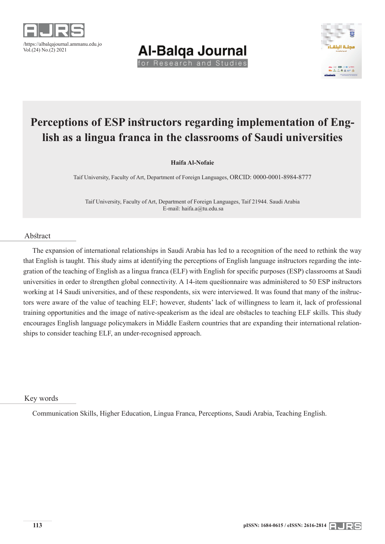





# **Perceptions of ESP instructors regarding implementation of English as a lingua franca in the classrooms of Saudi universities**

**Haifa Al-Nofaie**

Taif University, Faculty of Art, Department of Foreign Languages, ORCID: 0000-0001-8984-8777

Taif University, Faculty of Art, Department of Foreign Languages, Taif 21944. Saudi Arabia E-mail: haifa.a@tu.edu.sa

# Abstract

The expansion of international relationships in Saudi Arabia has led to a recognition of the need to rethink the way that English is taught. This study aims at identifying the perceptions of English language instructors regarding the integration of the teaching of English as a lingua franca (ELF) with English for specific purposes (ESP) classrooms at Saudi universities in order to strengthen global connectivity. A 14-item questionnaire was administered to 50 ESP instructors working at 14 Saudi universities, and of these respondents, six were interviewed. It was found that many of the instructors were aware of the value of teaching ELF; however, students' lack of willingness to learn it, lack of professional training opportunities and the image of native-speakerism as the ideal are obstacles to teaching ELF skills. This study encourages English language policymakers in Middle Eastern countries that are expanding their international relationships to consider teaching ELF, an under-recognised approach.

Key words

Communication Skills, Higher Education, Lingua Franca, Perceptions, Saudi Arabia, Teaching English.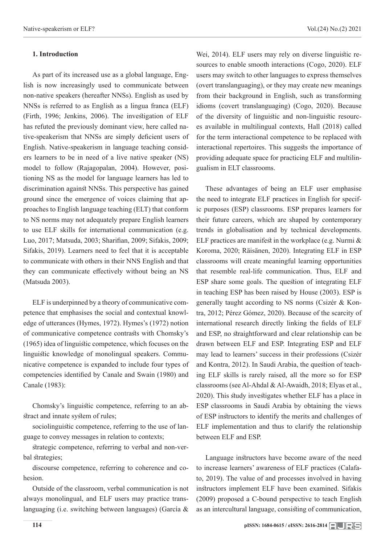# **1. Introduction**

As part of its increased use as a global language, English is now increasingly used to communicate between non-native speakers (hereafter NNSs). English as used by NNSs is referred to as English as a lingua franca (ELF) (Firth, 1996; Jenkins, 2006). The investigation of ELF has refuted the previously dominant view, here called native-speakerism that NNSs are simply deficient users of English. Native-speakerism in language teaching considers learners to be in need of a live native speaker (NS) model to follow (Rajagopalan, 2004). However, positioning NS as the model for language learners has led to discrimination against NNSs. This perspective has gained ground since the emergence of voices claiming that approaches to English language teaching (ELT) that conform to NS norms may not adequately prepare English learners to use ELF skills for international communication (e.g. Luo, 2017; Matsuda, 2003; Sharifian, 2009; Sifakis, 2009; Sifakis, 2019). Learners need to feel that it is acceptable to communicate with others in their NNS English and that they can communicate effectively without being an NS (Matsuda 2003).

ELF is underpinned by a theory of communicative competence that emphasises the social and contextual knowledge of utterances (Hymes, 1972). Hymes's (1972) notion of communicative competence contrasts with Chomsky's (1965) idea of linguistic competence, which focuses on the linguistic knowledge of monolingual speakers. Communicative competence is expanded to include four types of competencies identified by Canale and Swain (1980) and Canale (1983):

Chomsky's linguistic competence, referring to an abstract and innate system of rules;

sociolinguistic competence, referring to the use of language to convey messages in relation to contexts;

strategic competence, referring to verbal and non-verbal strategies;

discourse competence, referring to coherence and cohesion.

Outside of the classroom, verbal communication is not always monolingual, and ELF users may practice translanguaging (i.e. switching between languages) (García &

Wei, 2014). ELF users may rely on diverse linguistic resources to enable smooth interactions (Cogo, 2020). ELF users may switch to other languages to express themselves (overt translanguaging), or they may create new meanings from their background in English, such as transforming idioms (covert translanguaging) (Cogo, 2020). Because of the diversity of linguistic and non-linguistic resources available in multilingual contexts, Hall (2018) called for the term interactional competence to be replaced with interactional repertoires. This suggests the importance of providing adequate space for practicing ELF and multilingualism in ELT classrooms.

These advantages of being an ELF user emphasise the need to integrate ELF practices in English for specific purposes (ESP) classrooms. ESP prepares learners for their future careers, which are shaped by contemporary trends in globalisation and by technical developments. ELF practices are manifest in the workplace (e.g. Nurmi & Koroma, 2020; Räisänen, 2020). Integrating ELF in ESP classrooms will create meaningful learning opportunities that resemble real-life communication. Thus, ELF and ESP share some goals. The question of integrating ELF in teaching ESP has been raised by House (2003). ESP is generally taught according to NS norms (Csizér & Kontra, 2012; Pérez Gómez, 2020). Because of the scarcity of international research directly linking the fields of ELF and ESP, no straightforward and clear relationship can be drawn between ELF and ESP. Integrating ESP and ELF may lead to learners' success in their professions (Csizér and Kontra, 2012). In Saudi Arabia, the question of teaching ELF skills is rarely raised, all the more so for ESP classrooms (see Al-Ahdal & Al-Awaidh, 2018; Elyas et al., 2020). This study investigates whether ELF has a place in ESP classrooms in Saudi Arabia by obtaining the views of ESP instructors to identify the merits and challenges of ELF implementation and thus to clarify the relationship between ELF and ESP.

Language instructors have become aware of the need to increase learners' awareness of ELF practices (Calafato, 2019). The value of and processes involved in having instructors implement ELF have been examined. Sifakis (2009) proposed a C-bound perspective to teach English as an intercultural language, consisting of communication,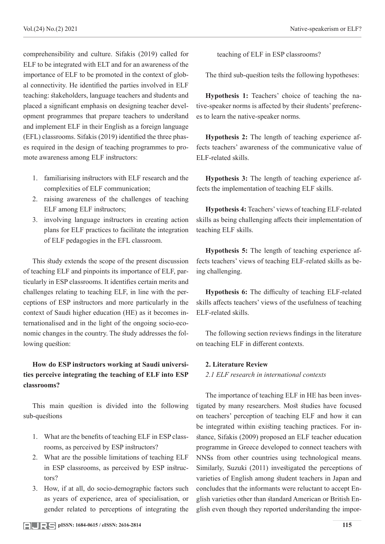comprehensibility and culture. Sifakis (2019) called for ELF to be integrated with ELT and for an awareness of the importance of ELF to be promoted in the context of global connectivity. He identified the parties involved in ELF teaching: stakeholders, language teachers and students and placed a significant emphasis on designing teacher development programmes that prepare teachers to understand and implement ELF in their English as a foreign language (EFL) classrooms. Sifakis (2019) identified the three phases required in the design of teaching programmes to promote awareness among ELF instructors:

- 1. familiarising instructors with ELF research and the complexities of ELF communication;
- 2. raising awareness of the challenges of teaching ELF among ELF instructors;
- 3. involving language instructors in creating action plans for ELF practices to facilitate the integration of ELF pedagogies in the EFL classroom.

This study extends the scope of the present discussion of teaching ELF and pinpoints its importance of ELF, particularly in ESP classrooms. It identifies certain merits and challenges relating to teaching ELF, in line with the perceptions of ESP instructors and more particularly in the context of Saudi higher education (HE) as it becomes internationalised and in the light of the ongoing socio-economic changes in the country. The study addresses the following question:

# **How do ESP instructors working at Saudi universities perceive integrating the teaching of ELF into ESP classrooms?**

This main question is divided into the following sub-questions

- 1. What are the benefits of teaching ELF in ESP classrooms, as perceived by ESP instructors?
- 2. What are the possible limitations of teaching ELF in ESP classrooms, as perceived by ESP instructors?
- 3. How, if at all, do socio-demographic factors such as years of experience, area of specialisation, or gender related to perceptions of integrating the

teaching of ELF in ESP classrooms?

The third sub-question tests the following hypotheses:

**Hypothesis 1:** Teachers' choice of teaching the native-speaker norms is affected by their students' preferences to learn the native-speaker norms.

**Hypothesis 2:** The length of teaching experience affects teachers' awareness of the communicative value of ELF-related skills.

**Hypothesis 3:** The length of teaching experience affects the implementation of teaching ELF skills.

**Hypothesis 4:** Teachers' views of teaching ELF-related skills as being challenging affects their implementation of teaching ELF skills.

**Hypothesis 5:** The length of teaching experience affects teachers' views of teaching ELF-related skills as being challenging.

**Hypothesis 6:** The difficulty of teaching ELF-related skills affects teachers' views of the usefulness of teaching ELF-related skills.

The following section reviews findings in the literature on teaching ELF in different contexts.

# **2. Literature Review**

*2.1 ELF research in international contexts*

The importance of teaching ELF in HE has been investigated by many researchers. Most studies have focused on teachers' perception of teaching ELF and how it can be integrated within existing teaching practices. For instance, Sifakis (2009) proposed an ELF teacher education programme in Greece developed to connect teachers with NNSs from other countries using technological means. Similarly, Suzuki (2011) investigated the perceptions of varieties of English among student teachers in Japan and concludes that the informants were reluctant to accept English varieties other than standard American or British English even though they reported understanding the impor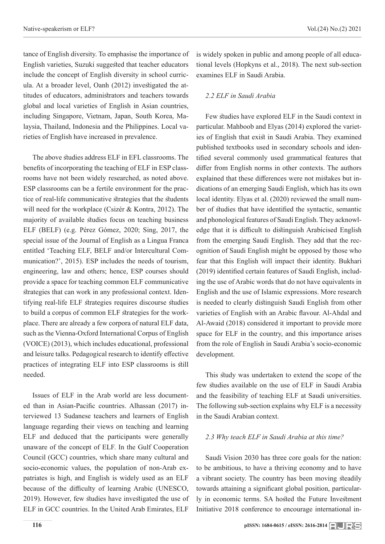tance of English diversity. To emphasise the importance of English varieties, Suzuki suggested that teacher educators include the concept of English diversity in school curricula. At a broader level, Oanh (2012) investigated the attitudes of educators, administrators and teachers towards global and local varieties of English in Asian countries, including Singapore, Vietnam, Japan, South Korea, Malaysia, Thailand, Indonesia and the Philippines. Local va-

rieties of English have increased in prevalence.

The above studies address ELF in EFL classrooms. The benefits of incorporating the teaching of ELF in ESP classrooms have not been widely researched, as noted above. ESP classrooms can be a fertile environment for the practice of real-life communicative strategies that the students will need for the workplace (Csizér & Kontra, 2012). The majority of available studies focus on teaching business ELF (BELF) (e.g. Pérez Gómez, 2020; Sing, 2017, the special issue of the Journal of English as a Lingua Franca entitled 'Teaching ELF, BELF and/or Intercultural Communication?', 2015). ESP includes the needs of tourism, engineering, law and others; hence, ESP courses should provide a space for teaching common ELF communicative strategies that can work in any professional context. Identifying real-life ELF strategies requires discourse studies to build a corpus of common ELF strategies for the workplace. There are already a few corpora of natural ELF data, such as the Vienna-Oxford International Corpus of English (VOICE) (2013), which includes educational, professional and leisure talks. Pedagogical research to identify effective practices of integrating ELF into ESP classrooms is still needed.

Issues of ELF in the Arab world are less documented than in Asian-Pacific countries. Alhassan (2017) interviewed 13 Sudanese teachers and learners of English language regarding their views on teaching and learning ELF and deduced that the participants were generally unaware of the concept of ELF. In the Gulf Cooperation Council (GCC) countries, which share many cultural and socio-economic values, the population of non-Arab expatriates is high, and English is widely used as an ELF because of the difficulty of learning Arabic (UNESCO, 2019). However, few studies have investigated the use of ELF in GCC countries. In the United Arab Emirates, ELF

is widely spoken in public and among people of all educational levels (Hopkyns et al., 2018). The next sub-section examines ELF in Saudi Arabia.

# *2.2 ELF in Saudi Arabia*

Few studies have explored ELF in the Saudi context in particular. Mahboob and Elyas (2014) explored the varieties of English that exist in Saudi Arabia. They examined published textbooks used in secondary schools and identified several commonly used grammatical features that differ from English norms in other contexts. The authors explained that these differences were not mistakes but indications of an emerging Saudi English, which has its own local identity. Elyas et al. (2020) reviewed the small number of studies that have identified the syntactic, semantic and phonological features of Saudi English. They acknowledge that it is difficult to distinguish Arabicised English from the emerging Saudi English. They add that the recognition of Saudi English might be opposed by those who fear that this English will impact their identity. Bukhari (2019) identified certain features of Saudi English, including the use of Arabic words that do not have equivalents in English and the use of Islamic expressions. More research is needed to clearly distinguish Saudi English from other varieties of English with an Arabic flavour. Al-Ahdal and Al-Awaid (2018) considered it important to provide more space for ELF in the country, and this importance arises from the role of English in Saudi Arabia's socio-economic development.

This study was undertaken to extend the scope of the few studies available on the use of ELF in Saudi Arabia and the feasibility of teaching ELF at Saudi universities. The following sub-section explains why ELF is a necessity in the Saudi Arabian context.

# *2.3 Why teach ELF in Saudi Arabia at this time?*

Saudi Vision 2030 has three core goals for the nation: to be ambitious, to have a thriving economy and to have a vibrant society. The country has been moving steadily towards attaining a significant global position, particularly in economic terms. SA hosted the Future Investment Initiative 2018 conference to encourage international in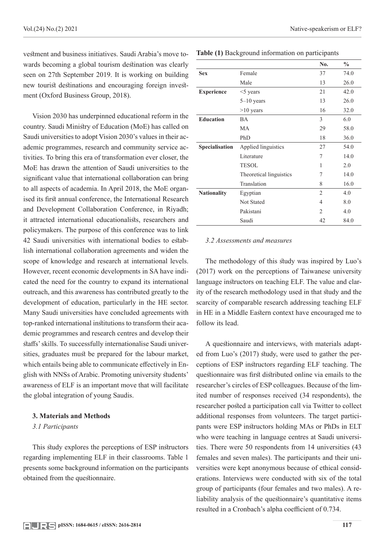vestment and business initiatives. Saudi Arabia's move towards becoming a global tourism destination was clearly seen on 27th September 2019. It is working on building new tourist destinations and encouraging foreign investment (Oxford Business Group, 2018).

Vision 2030 has underpinned educational reform in the country. Saudi Ministry of Education (MoE) has called on Saudi universities to adopt Vision 2030's values in their academic programmes, research and community service activities. To bring this era of transformation ever closer, the MoE has drawn the attention of Saudi universities to the significant value that international collaboration can bring to all aspects of academia. In April 2018, the MoE organised its first annual conference, the International Research and Development Collaboration Conference, in Riyadh; it attracted international educationalists, researchers and policymakers. The purpose of this conference was to link 42 Saudi universities with international bodies to establish international collaboration agreements and widen the scope of knowledge and research at international levels. However, recent economic developments in SA have indicated the need for the country to expand its international outreach, and this awareness has contributed greatly to the development of education, particularly in the HE sector. Many Saudi universities have concluded agreements with top-ranked international institutions to transform their academic programmes and research centres and develop their staffs' skills. To successfully internationalise Saudi universities, graduates must be prepared for the labour market, which entails being able to communicate effectively in English with NNSs of Arabic. Promoting university students' awareness of ELF is an important move that will facilitate the global integration of young Saudis.

# **3. Materials and Methods**

# *3.1 Participants*

This study explores the perceptions of ESP instructors regarding implementing ELF in their classrooms. Table 1 presents some background information on the participants obtained from the questionnaire.

|                    |                         | No.            | $\frac{0}{0}$ |
|--------------------|-------------------------|----------------|---------------|
| <b>Sex</b>         | Female                  | 37             | 74.0          |
|                    | Male                    | 13             | 26.0          |
| <b>Experience</b>  | $<$ 5 years             | 21             | 42.0          |
|                    | $5 - 10$ years          | 13             | 26.0          |
|                    | $>10$ years             | 16             | 32.0          |
| <b>Education</b>   | <b>BA</b>               | 3              | 6.0           |
|                    | MA                      | 29             | 58.0          |
|                    | PhD                     | 18             | 36.0          |
| Specialisation     | Applied linguistics     | 27             | 54.0          |
|                    | Literature              | 7              | 14.0          |
|                    | <b>TESOL</b>            | 1              | 2.0           |
|                    | Theoretical linguistics | 7              | 14.0          |
|                    | Translation             | 8              | 16.0          |
| <b>Nationality</b> | Egyptian                | 2              | 4.0           |
|                    | Not Stated              | 4              | 8.0           |
|                    | Pakistani               | $\mathfrak{D}$ | 4.0           |
|                    | Saudi                   | 42             | 84.0          |

**Table (1)** Background information on participants

#### *3.2 Assessments and measures*

The methodology of this study was inspired by Luo's (2017) work on the perceptions of Taiwanese university language instructors on teaching ELF. The value and clarity of the research methodology used in that study and the scarcity of comparable research addressing teaching ELF in HE in a Middle Eastern context have encouraged me to follow its lead.

A questionnaire and interviews, with materials adapted from Luo's (2017) study, were used to gather the perceptions of ESP instructors regarding ELF teaching. The questionnaire was first distributed online via emails to the researcher's circles of ESP colleagues. Because of the limited number of responses received (34 respondents), the researcher posted a participation call via Twitter to collect additional responses from volunteers. The target participants were ESP instructors holding MAs or PhDs in ELT who were teaching in language centres at Saudi universities. There were 50 respondents from 14 universities (43 females and seven males). The participants and their universities were kept anonymous because of ethical considerations. Interviews were conducted with six of the total group of participants (four females and two males). A reliability analysis of the questionnaire's quantitative items resulted in a Cronbach's alpha coefficient of 0.734.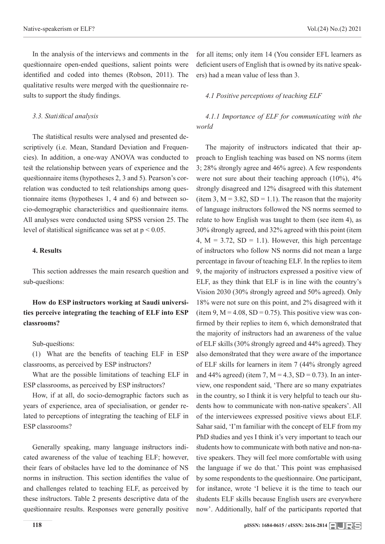In the analysis of the interviews and comments in the questionnaire open-ended questions, salient points were identified and coded into themes (Robson, 2011). The qualitative results were merged with the questionnaire results to support the study findings.

# *3.3. Statistical analysis*

The statistical results were analysed and presented descriptively (i.e. Mean, Standard Deviation and Frequencies). In addition, a one-way ANOVA was conducted to test the relationship between years of experience and the questionnaire items (hypotheses 2, 3 and 5). Pearson's correlation was conducted to test relationships among questionnaire items (hypotheses 1, 4 and 6) and between socio-demographic characteristics and questionnaire items. All analyses were conducted using SPSS version 25. The level of statistical significance was set at  $p < 0.05$ .

# **4. Results**

This section addresses the main research question and sub-questions:

# **How do ESP instructors working at Saudi universities perceive integrating the teaching of ELF into ESP classrooms?**

#### Sub-questions:

(1) What are the benefits of teaching ELF in ESP classrooms, as perceived by ESP instructors?

What are the possible limitations of teaching ELF in ESP classrooms, as perceived by ESP instructors?

How, if at all, do socio-demographic factors such as years of experience, area of specialisation, or gender related to perceptions of integrating the teaching of ELF in ESP classrooms?

Generally speaking, many language instructors indicated awareness of the value of teaching ELF; however, their fears of obstacles have led to the dominance of NS norms in instruction. This section identifies the value of and challenges related to teaching ELF, as perceived by these instructors. Table 2 presents descriptive data of the questionnaire results. Responses were generally positive

for all items; only item 14 (You consider EFL learners as deficient users of English that is owned by its native speakers) had a mean value of less than 3.

#### *4.1 Positive perceptions of teaching ELF*

*4.1.1 Importance of ELF for communicating with the world*

The majority of instructors indicated that their approach to English teaching was based on NS norms (item 3; 28% strongly agree and 46% agree). A few respondents were not sure about their teaching approach (10%), 4% strongly disagreed and 12% disagreed with this statement (item 3,  $M = 3.82$ ,  $SD = 1.1$ ). The reason that the majority of language instructors followed the NS norms seemed to relate to how English was taught to them (see item 4), as 30% strongly agreed, and 32% agreed with this point (item 4,  $M = 3.72$ ,  $SD = 1.1$ ). However, this high percentage of instructors who follow NS norms did not mean a large percentage in favour of teaching ELF. In the replies to item 9, the majority of instructors expressed a positive view of ELF, as they think that ELF is in line with the country's Vision 2030 (30% strongly agreed and 50% agreed). Only 18% were not sure on this point, and 2% disagreed with it (item 9,  $M = 4.08$ , SD = 0.75). This positive view was confirmed by their replies to item 6, which demonstrated that the majority of instructors had an awareness of the value of ELF skills (30% strongly agreed and 44% agreed). They also demonstrated that they were aware of the importance of ELF skills for learners in item 7 (44% strongly agreed and 44% agreed) (item 7,  $M = 4.3$ ,  $SD = 0.73$ ). In an interview, one respondent said, 'There are so many expatriates in the country, so I think it is very helpful to teach our students how to communicate with non-native speakers'. All of the interviewees expressed positive views about ELF. Sahar said, 'I'm familiar with the concept of ELF from my PhD studies and yes I think it's very important to teach our students how to communicate with both native and non-native speakers. They will feel more comfortable with using the language if we do that.' This point was emphasised by some respondents to the questionnaire. One participant, for instance, wrote 'I believe it is the time to teach our students ELF skills because English users are everywhere now'. Additionally, half of the participants reported that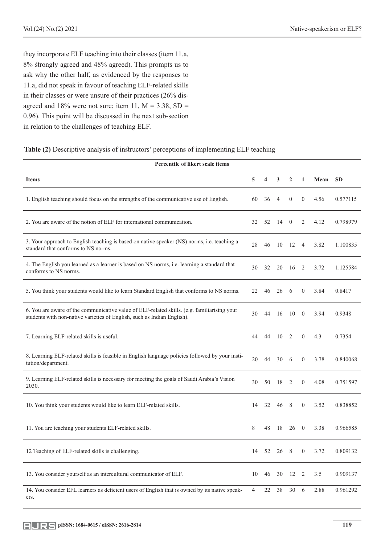they incorporate ELF teaching into their classes (item 11.a, 8% strongly agreed and 48% agreed). This prompts us to ask why the other half, as evidenced by the responses to 11.a, did not speak in favour of teaching ELF-related skills in their classes or were unsure of their practices (26% disagreed and 18% were not sure; item 11,  $M = 3.38$ , SD = 0.96). This point will be discussed in the next sub-section in relation to the challenges of teaching ELF.

# **Table (2)** Descriptive analysis of instructors' perceptions of implementing ELF teaching

| Percentile of likert scale items                                                                                                                                       |                |    |              |                  |                  |      |           |  |  |  |  |
|------------------------------------------------------------------------------------------------------------------------------------------------------------------------|----------------|----|--------------|------------------|------------------|------|-----------|--|--|--|--|
| <b>Items</b>                                                                                                                                                           | 5              | 4  | 3            | $\overline{2}$   | $\mathbf{1}$     | Mean | <b>SD</b> |  |  |  |  |
| 1. English teaching should focus on the strengths of the communicative use of English.                                                                                 | 60             | 36 | 4            | $\boldsymbol{0}$ | $\boldsymbol{0}$ | 4.56 | 0.577115  |  |  |  |  |
| 2. You are aware of the notion of ELF for international communication.                                                                                                 | 32             | 52 | $14 \quad 0$ |                  | 2                | 4.12 | 0.798979  |  |  |  |  |
| 3. Your approach to English teaching is based on native speaker (NS) norms, i.e. teaching a<br>standard that conforms to NS norms.                                     | 28             | 46 |              | 10 12            | $\overline{4}$   | 3.82 | 1.100835  |  |  |  |  |
| 4. The English you learned as a learner is based on NS norms, i.e. learning a standard that<br>conforms to NS norms.                                                   | 30             | 32 | 20           | - 16             | <sup>2</sup>     | 3.72 | 1.125584  |  |  |  |  |
| 5. You think your students would like to learn Standard English that conforms to NS norms.                                                                             | 22             | 46 | 26           | 6                | $\overline{0}$   | 3.84 | 0.8417    |  |  |  |  |
| 6. You are aware of the communicative value of ELF-related skills. (e.g. familiarising your<br>students with non-native varieties of English, such as Indian English). | 30             | 44 | 16           | - 10             | $\overline{0}$   | 3.94 | 0.9348    |  |  |  |  |
| 7. Learning ELF-related skills is useful.                                                                                                                              | 44             | 44 | 10           | 2                | $\mathbf{0}$     | 4.3  | 0.7354    |  |  |  |  |
| 8. Learning ELF-related skills is feasible in English language policies followed by your insti-<br>tution/department.                                                  | 20             | 44 | 30           | 6                | $\mathbf{0}$     | 3.78 | 0.840068  |  |  |  |  |
| 9. Learning ELF-related skills is necessary for meeting the goals of Saudi Arabia's Vision<br>2030.                                                                    | 30             | 50 | 18 2         |                  | $\overline{0}$   | 4.08 | 0.751597  |  |  |  |  |
| 10. You think your students would like to learn ELF-related skills.                                                                                                    | 14             | 32 | 46 8         |                  | $\mathbf{0}$     | 3.52 | 0.838852  |  |  |  |  |
| 11. You are teaching your students ELF-related skills.                                                                                                                 | 8              | 48 | 18           | $26 \quad 0$     |                  | 3.38 | 0.966585  |  |  |  |  |
| 12 Teaching of ELF-related skills is challenging.                                                                                                                      | 14             |    |              |                  | $\boldsymbol{0}$ | 3.72 | 0.809132  |  |  |  |  |
| 13. You consider yourself as an intercultural communicator of ELF.                                                                                                     | 10             | 46 | 30           | 12               | $\overline{2}$   | 3.5  | 0.909137  |  |  |  |  |
| 14. You consider EFL learners as deficient users of English that is owned by its native speak-<br>ers.                                                                 | $\overline{4}$ | 22 | 38           | $30 \t 6$        |                  | 2.88 | 0.961292  |  |  |  |  |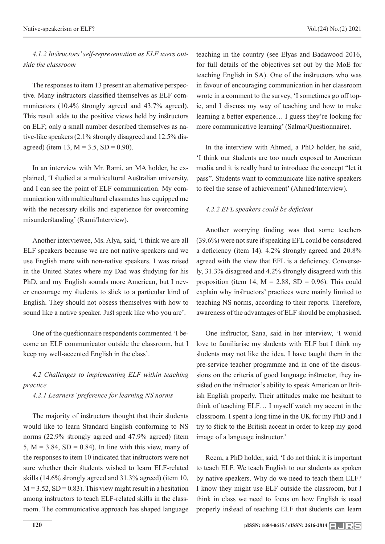*4.1.2 Instructors' self-representation as ELF users outside the classroom*

The responses to item 13 present an alternative perspective. Many instructors classified themselves as ELF communicators (10.4% strongly agreed and 43.7% agreed). This result adds to the positive views held by instructors on ELF; only a small number described themselves as native-like speakers (2.1% strongly disagreed and 12.5% disagreed) (item 13,  $M = 3.5$ ,  $SD = 0.90$ ).

In an interview with Mr. Rami, an MA holder, he explained, 'I studied at a multicultural Australian university, and I can see the point of ELF communication. My communication with multicultural classmates has equipped me with the necessary skills and experience for overcoming misunderstanding' (Rami/Interview).

Another interviewee, Ms. Alya, said, 'I think we are all ELF speakers because we are not native speakers and we use English more with non-native speakers. I was raised in the United States where my Dad was studying for his PhD, and my English sounds more American, but I never encourage my students to stick to a particular kind of English. They should not obsess themselves with how to sound like a native speaker. Just speak like who you are'.

One of the questionnaire respondents commented 'I become an ELF communicator outside the classroom, but I keep my well-accented English in the class'.

*4.2 Challenges to implementing ELF within teaching practice*

*4.2.1 Learners' preference for learning NS norms*

The majority of instructors thought that their students would like to learn Standard English conforming to NS norms (22.9% strongly agreed and 47.9% agreed) (item 5,  $M = 3.84$ ,  $SD = 0.84$ ). In line with this view, many of the responses to item 10 indicated that instructors were not sure whether their students wished to learn ELF-related skills (14.6% strongly agreed and 31.3% agreed) (item 10,  $M = 3.52$ ,  $SD = 0.83$ ). This view might result in a hesitation among instructors to teach ELF-related skills in the classroom. The communicative approach has shaped language

teaching in the country (see Elyas and Badawood 2016, for full details of the objectives set out by the MoE for teaching English in SA). One of the instructors who was in favour of encouraging communication in her classroom wrote in a comment to the survey, 'I sometimes go off topic, and I discuss my way of teaching and how to make learning a better experience… I guess they're looking for more communicative learning' (Salma/Questionnaire).

In the interview with Ahmed, a PhD holder, he said, 'I think our students are too much exposed to American media and it is really hard to introduce the concept "let it pass". Students want to communicate like native speakers to feel the sense of achievement' (Ahmed/Interview).

#### *4.2.2 EFL speakers could be deficient*

Another worrying finding was that some teachers (39.6%) were not sure if speaking EFL could be considered a deficiency (item 14). 4.2% strongly agreed and 20.8% agreed with the view that EFL is a deficiency. Conversely, 31.3% disagreed and 4.2% strongly disagreed with this proposition (item 14,  $M = 2.88$ , SD = 0.96). This could explain why instructors' practices were mainly limited to teaching NS norms, according to their reports. Therefore, awareness of the advantages of ELF should be emphasised.

One instructor, Sana, said in her interview, 'I would love to familiarise my students with ELF but I think my students may not like the idea. I have taught them in the pre-service teacher programme and in one of the discussions on the criteria of good language instructor, they insisted on the instructor's ability to speak American or British English properly. Their attitudes make me hesitant to think of teaching ELF… I myself watch my accent in the classroom. I spent a long time in the UK for my PhD and I try to stick to the British accent in order to keep my good image of a language instructor.'

Reem, a PhD holder, said, 'I do not think it is important to teach ELF. We teach English to our students as spoken by native speakers. Why do we need to teach them ELF? I know they might use ELF outside the classroom, but I think in class we need to focus on how English is used properly instead of teaching ELF that students can learn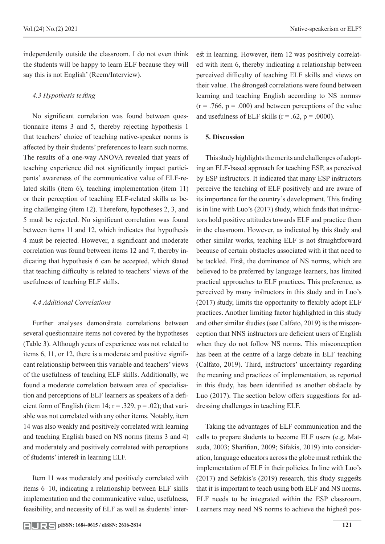independently outside the classroom. I do not even think the students will be happy to learn ELF because they will say this is not English' (Reem/Interview).

# *4.3 Hypothesis testing*

No significant correlation was found between questionnaire items 3 and 5, thereby rejecting hypothesis 1 that teachers' choice of teaching native-speaker norms is affected by their students' preferences to learn such norms. The results of a one-way ANOVA revealed that years of teaching experience did not significantly impact participants' awareness of the communicative value of ELF-related skills (item 6), teaching implementation (item 11) or their perception of teaching ELF-related skills as being challenging (item 12). Therefore, hypotheses 2, 3, and 5 must be rejected. No significant correlation was found between items 11 and 12, which indicates that hypothesis 4 must be rejected. However, a significant and moderate correlation was found between items 12 and 7, thereby indicating that hypothesis 6 can be accepted, which stated that teaching difficulty is related to teachers' views of the usefulness of teaching ELF skills.

### *4.4 Additional Correlations*

Further analyses demonstrate correlations between several questionnaire items not covered by the hypotheses (Table 3). Although years of experience was not related to items 6, 11, or 12, there is a moderate and positive significant relationship between this variable and teachers' views of the usefulness of teaching ELF skills. Additionally, we found a moderate correlation between area of specialisation and perceptions of ELF learners as speakers of a deficient form of English (item 14;  $r = .329$ ,  $p = .02$ ); that variable was not correlated with any other items. Notably, item 14 was also weakly and positively correlated with learning and teaching English based on NS norms (items 3 and 4) and moderately and positively correlated with perceptions of students' interest in learning ELF.

Item 11 was moderately and positively correlated with items 6–10, indicating a relationship between ELF skills implementation and the communicative value, usefulness, feasibility, and necessity of ELF as well as students' interest in learning. However, item 12 was positively correlated with item 6, thereby indicating a relationship between perceived difficulty of teaching ELF skills and views on their value. The strongest correlations were found between learning and teaching English according to NS normsv  $(r = .766, p = .000)$  and between perceptions of the value and usefulness of ELF skills ( $r = .62$ ,  $p = .0000$ ).

# **5. Discussion**

This study highlights the merits and challenges of adopting an ELF-based approach for teaching ESP, as perceived by ESP instructors. It indicated that many ESP instructors perceive the teaching of ELF positively and are aware of its importance for the country's development. This finding is in line with Luo's (2017) study, which finds that instructors hold positive attitudes towards ELF and practice them in the classroom. However, as indicated by this study and other similar works, teaching ELF is not straightforward because of certain obstacles associated with it that need to be tackled. First, the dominance of NS norms, which are believed to be preferred by language learners, has limited practical approaches to ELF practices. This preference, as perceived by many instructors in this study and in Luo's (2017) study, limits the opportunity to flexibly adopt ELF practices. Another limiting factor highlighted in this study and other similar studies (see Calfato, 2019) is the misconception that NNS instructors are deficient users of English when they do not follow NS norms. This misconception has been at the centre of a large debate in ELF teaching (Calfato, 2019). Third, instructors' uncertainty regarding the meaning and practices of implementation, as reported in this study, has been identified as another obstacle by Luo (2017). The section below offers suggestions for addressing challenges in teaching ELF.

Taking the advantages of ELF communication and the calls to prepare students to become ELF users (e.g. Matsuda, 2003; Sharifian, 2009; Sifakis, 2019) into consideration, language educators across the globe must rethink the implementation of ELF in their policies. In line with Luo's (2017) and Sefakis's (2019) research, this study suggests that it is important to teach using both ELF and NS norms. ELF needs to be integrated within the ESP classroom. Learners may need NS norms to achieve the highest pos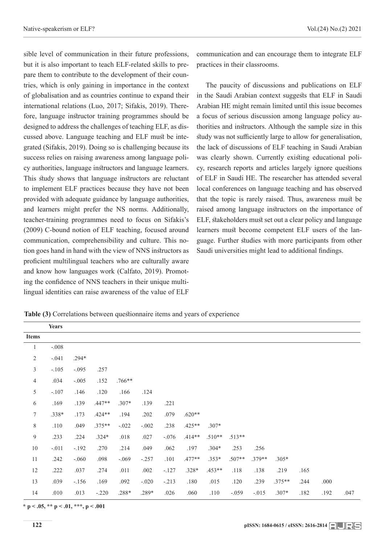sible level of communication in their future professions, but it is also important to teach ELF-related skills to prepare them to contribute to the development of their countries, which is only gaining in importance in the context of globalisation and as countries continue to expand their international relations (Luo, 2017; Sifakis, 2019). Therefore, language instructor training programmes should be designed to address the challenges of teaching ELF, as discussed above. Language teaching and ELF must be integrated (Sifakis, 2019). Doing so is challenging because its success relies on raising awareness among language policy authorities, language instructors and language learners. This study shows that language instructors are reluctant to implement ELF practices because they have not been provided with adequate guidance by language authorities, and learners might prefer the NS norms. Additionally, teacher-training programmes need to focus on Sifakis's (2009) C-bound notion of ELF teaching, focused around communication, comprehensibility and culture. This notion goes hand in hand with the view of NNS instructors as proficient multilingual teachers who are culturally aware and know how languages work (Calfato, 2019). Promoting the confidence of NNS teachers in their unique multilingual identities can raise awareness of the value of ELF

communication and can encourage them to integrate ELF practices in their classrooms.

The paucity of discussions and publications on ELF in the Saudi Arabian context suggests that ELF in Saudi Arabian HE might remain limited until this issue becomes a focus of serious discussion among language policy authorities and instructors. Although the sample size in this study was not sufficiently large to allow for generalisation, the lack of discussions of ELF teaching in Saudi Arabian was clearly shown. Currently existing educational policy, research reports and articles largely ignore questions of ELF in Saudi HE. The researcher has attended several local conferences on language teaching and has observed that the topic is rarely raised. Thus, awareness must be raised among language instructors on the importance of ELF, stakeholders must set out a clear policy and language learners must become competent ELF users of the language. Further studies with more participants from other Saudi universities might lead to additional findings.

**Table (3)** Correlations between questionnaire items and years of experience

|                  | <b>Years</b> |         |          |          |          |         |          |          |          |         |          |      |      |      |
|------------------|--------------|---------|----------|----------|----------|---------|----------|----------|----------|---------|----------|------|------|------|
| <b>Items</b>     |              |         |          |          |          |         |          |          |          |         |          |      |      |      |
| $\mathbf{1}$     | $-.008$      |         |          |          |          |         |          |          |          |         |          |      |      |      |
| $\sqrt{2}$       | $-.041$      | $.294*$ |          |          |          |         |          |          |          |         |          |      |      |      |
| $\mathfrak{Z}$   | $-.105$      | $-.095$ | .257     |          |          |         |          |          |          |         |          |      |      |      |
| $\overline{4}$   | .034         | $-.005$ | .152     | $.766**$ |          |         |          |          |          |         |          |      |      |      |
| 5                | $-.107$      | .146    | .120     | .166     | .124     |         |          |          |          |         |          |      |      |      |
| 6                | .169         | .139    | $.447**$ | $.307*$  | .139     | .221    |          |          |          |         |          |      |      |      |
| $\boldsymbol{7}$ | .338*        | .173    | $.424**$ | .194     | .202     | .079    | $.620**$ |          |          |         |          |      |      |      |
| $\,$ $\,$        | .110         | .049    | $.375**$ | $-.022$  | $-.002$  | .238    | $.425**$ | $.307*$  |          |         |          |      |      |      |
| $\overline{9}$   | .233         | .224    | $.324*$  | .018     | .027     | $-.076$ | $.414**$ | $.510**$ | $.513**$ |         |          |      |      |      |
| 10               | $-.011$      | $-.192$ | .270     | .214     | .049     | .062    | .197     | $.304*$  | .253     | .256    |          |      |      |      |
| 11               | .242         | $-.060$ | .098     | $-.069$  | $-.257$  | .101    | $.477**$ | $.353*$  | $.507**$ | .379**  | $.305*$  |      |      |      |
| 12               | .222         | .037    | .274     | .011     | $.002\,$ | $-.127$ | $.328*$  | $.453**$ | .118     | .138    | .219     | .165 |      |      |
| 13               | .039         | $-.156$ | .169     | .092     | $-.020$  | $-.213$ | .180     | .015     | .120     | .239    | $.375**$ | .244 | .000 |      |
| 14               | .010         | .013    | $-.220$  | .288*    | .289*    | .026    | .060     | .110     | $-.059$  | $-.015$ | $.307*$  | .182 | .192 | .047 |

**\* p < .05, \*\* p < .01, \*\*\*, p < .001**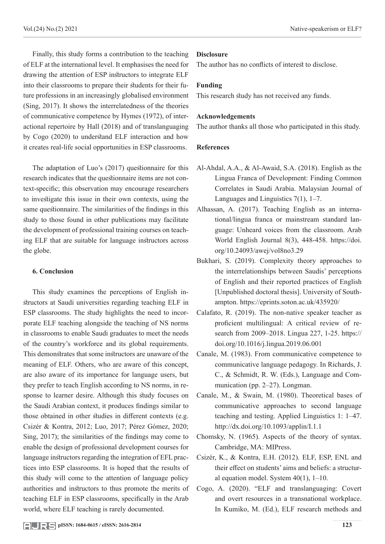Finally, this study forms a contribution to the teaching of ELF at the international level. It emphasises the need for drawing the attention of ESP instructors to integrate ELF into their classrooms to prepare their students for their future professions in an increasingly globalised environment (Sing, 2017). It shows the interrelatedness of the theories of communicative competence by Hymes (1972), of interactional repertoire by Hall (2018) and of translanguaging by Cogo (2020) to understand ELF interaction and how it creates real-life social opportunities in ESP classrooms.

The adaptation of Luo's (2017) questionnaire for this research indicates that the questionnaire items are not context-specific; this observation may encourage researchers to investigate this issue in their own contexts, using the same questionnaire. The similarities of the findings in this study to those found in other publications may facilitate the development of professional training courses on teaching ELF that are suitable for language instructors across the globe.

# **6. Conclusion**

This study examines the perceptions of English instructors at Saudi universities regarding teaching ELF in ESP classrooms. The study highlights the need to incorporate ELF teaching alongside the teaching of NS norms in classrooms to enable Saudi graduates to meet the needs of the country's workforce and its global requirements. This demonstrates that some instructors are unaware of the meaning of ELF. Others, who are aware of this concept, are also aware of its importance for language users, but they prefer to teach English according to NS norms, in response to learner desire. Although this study focuses on the Saudi Arabian context, it produces findings similar to those obtained in other studies in different contexts (e.g. Csizér & Kontra, 2012; Luo, 2017; Pérez Gómez, 2020; Sing, 2017); the similarities of the findings may come to enable the design of professional development courses for language instructors regarding the integration of EFL practices into ESP classrooms. It is hoped that the results of this study will come to the attention of language policy authorities and instructors to thus promote the merits of teaching ELF in ESP classrooms, specifically in the Arab world, where ELF teaching is rarely documented.

The author has no conflicts of interest to disclose.

# **Funding**

This research study has not received any funds.

# **Acknowledgements**

The author thanks all those who participated in this study.

# **References**

- Al-Ahdal, A.A., & Al-Awaid, S.A. (2018). English as the Lingua Franca of Development: Finding Common Correlates in Saudi Arabia. Malaysian Journal of Languages and Linguistics 7(1), 1–7.
- Alhassan, A. (2017). Teaching English as an international/lingua franca or mainstream standard language: Unheard voices from the classroom. Arab World English Journal 8(3), 448-458. https://doi. org/10.24093/awej/vol8no3.29
- Bukhari, S. (2019). Complexity theory approaches to the interrelationships between Saudis' perceptions of English and their reported practices of English [Unpublished doctoral thesis]. University of Southampton. https://eprints.soton.ac.uk/435920/
- Calafato, R. (2019). The non-native speaker teacher as proficient multilingual: A critical review of research from 2009–2018. Lingua 227, 1-25. https:// doi.org/10.1016/j.lingua.2019.06.001
- Canale, M. (1983). From communicative competence to communicative language pedagogy. In Richards, J. C., & Schmidt, R. W. (Eds.), Language and Communication (pp. 2–27). Longman.
- Canale, M., & Swain, M. (1980). Theoretical bases of communicative approaches to second language teaching and testing. Applied Linguistics 1: 1–47. http://dx.doi.org/10.1093/applin/I.1.1
- Chomsky, N. (1965). Aspects of the theory of syntax. Cambridge, MA: MIPress.
- Csizér, K., & Kontra, E.H. (2012). ELF, ESP, ENL and their effect on students' aims and beliefs: a structural equation model. System  $40(1)$ , 1–10.
- Cogo, A. (2020). "ELF and translanguaging: Covert and overt resources in a transnational workplace. In Kumiko, M. (Ed.), ELF research methods and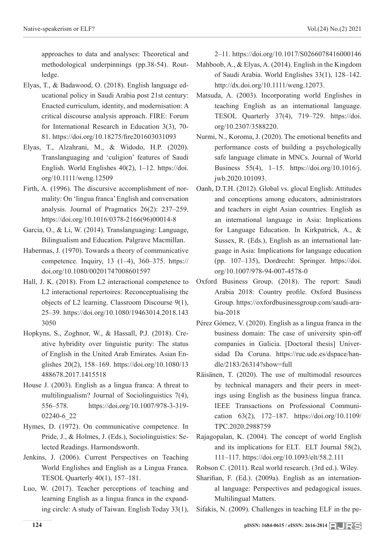approaches to data and analyses: Theoretical and methodological underpinnings (pp.38-54). Routledge.

- Elyas, T., & Badawood, O. (2018). English language educational policy in Saudi Arabia post 21st century: Enacted curriculum, identity, and modernisation: A critical discourse analysis approach. FIRE: Forum for International Research in Education 3(3), 70- 81. https://doi.org/10.18275/fire201603031093
- Elyas, T., Alzahrani, M., & Widodo, H.P. (2020). Translanguaging and 'culigion' features of Saudi English. World Englishes 40(2), 1–12. https://doi. org/10.1111/weng.12509
- Firth, A. (1996). The discursive accomplishment of normality: On 'lingua franca' English and conversation analysis. Journal of Pragmatics 26(2): 237–259. https://doi.org/10.1016/0378-2166(96)00014-8
- Garcia, O., & Li, W. (2014). Translanguaging: Language, Bilingualism and Education. Palgrave Macmillan.
- Habermas, J. (1970). Towards a theory of communicative competence. Inquiry, 13 (1–4), 360–375. https:// doi.org/10.1080/00201747008601597
- Hall, J. K. (2018). From L2 interactional competence to L2 interactional repertoires: Reconceptualising the objects of L2 learning. Classroom Discourse 9(1), 25–39. https://doi.org/10.1080/19463014.2018.143 3050
- Hopkyns, S., Zoghnor, W., & Hassall, P.J. (2018). Creative hybridity over linguistic purity: The status of English in the United Arab Emirates. Asian Englishes 20(2), 158–169. https://doi.org/10.1080/13 488678.2017.1415518
- House J. (2003). English as a lingua franca: A threat to multilingualism? Journal of Sociolinguistics 7(4), 556–578. https://doi.org/10.1007/978-3-319- 02240-6\_22
- Hymes, D. (1972). On communicative competence. In Pride, J., & Holmes, J. (Eds.), Sociolinguistics: Selected Readings. Harmondsworth.
- Jenkins, J. (2006). Current Perspectives on Teaching World Englishes and English as a Lingua Franca. TESOL Quarterly 40(1), 157–181.
- Luo, W. (2017). Teacher perceptions of teaching and learning English as a lingua franca in the expanding circle: A study of Taiwan. English Today 33(1),

2–11. https://doi.org/10.1017/S0266078416000146

- Mahboob, A., & Elyas, A. (2014). English in the Kingdom of Saudi Arabia. World Englishes 33(1), 128–142. http://dx.doi.org/10.1111/weng.12073.
- Matsuda, A. (2003). Incorporating world Englishes in teaching English as an international language. TESOL Quarterly 37(4), 719–729. https://doi. org/10.2307/3588220.
- Nurmi, N., Koroma, J. (2020). The emotional benefits and performance costs of building a psychologically safe language climate in MNCs. Journal of World Business 55(4), 1–15. https://doi.org/10.1016/j. jwb.2020.101093.
- Oanh, D.T.H. (2012). Global vs. glocal English: Attitudes and conceptions among educators, administrators and teachers in eight Asian countries. English as an international language in Asia: Implications for Language Education. In Kirkpatrick, A., & Sussex, R. (Eds.), English as an international language in Asia: Implications for language education (pp. 107–135), Dordrecht: Springer. https://doi. org/10.1007/978-94-007-4578-0
- Oxford Business Group. (2018). The report: Saudi Arabia 2018: Country profile. Oxford Business Group. https://oxfordbusinessgroup.com/saudi-arabia-2018
- Pérez Gómez, V. (2020). English as a lingua franca in the business domain: The case of university spin-off companies in Galicia. [Doctoral thesis] Universidad Da Coruna. https://ruc.udc.es/dspace/handle/2183/26314?show=full
- Räisänen, T. (2020). The use of multimodal resources by technical managers and their peers in meetings using English as the business lingua franca. IEEE Transactions on Professional Communication 63(2), 172–187. https://doi.org/10.1109/ TPC.2020.2988759
- Rajagopalan, K. (2004). The concept of world English and its implications for ELT. ELT Journal 58(2), 111–117. https://doi.org/10.1093/elt/58.2.111
- Robson C. (2011). Real world research. (3rd ed.). Wiley.
- Sharifian, F. (Ed.). (2009a). English as an international language: Perspectives and pedagogical issues. Multilingual Matters.
- Sifakis, N. (2009). Challenges in teaching ELF in the pe-